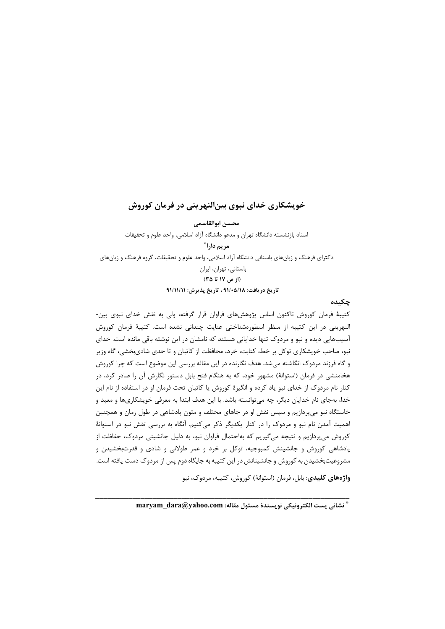# خویشکاری خدای نبوی بین|لنهرینی در فرمان کوروش

محسن ابوالقاسمى استاد با;نشسته دانشگاه تهران و مدعو دانشگاه آزاد اسلامی، واحد علوم و تحقیقات مريم دارا® دکترای فرهنگ و زبانهای باستانی دانشگاه آزاد اسلامی، واحد علوم و تحقیقات، گروه فرهنگ و زبانهای باستانی، تهران، ایران (از ص ۱۷ تا ۳۵) تاريخ دريافت: ٩١/٠۵/١٨ ، تاريخ پذيرش: ٩١/١١/١١

## چکیده

کتیبهٔ فرمان کوروش تاکنون اساس پژوهشهای فراوان قرار گرفته، ولی به نقش خدای نبوی بین-النهرینی در این کتیبه از منظر اسطورهشناختی عنایت چندانی نشده است. کتیبهٔ فرمان کوروش آسیبهایی دیده و نبو و مردوک تنها خدایانی هستند که نامشان در این نوشته باقی مانده است. خدای نبو، صاحب خویشکاری توکل بر خط، کتابت، خرد، محافظت از کاتبان و تا حدی شادیبخشی، گاه وزیر و گاه فرزند مردوک انگاشته میشد. هدف نگارنده در این مقاله بررسی این موضوع است که چرا کوروش هخامنشی در فرمان (استوانهٔ) مشهور خود، که به هنگام فتح بابل دستور نگارش آن را صادر کرد، در کنار نام مردوک از خدای نبو یاد کرده و انگیزهٔ کوروش یا کاتبان تحت فرمان او در استفاده از نام این خدا، بهجای نام خدایان دیگر، چه میتوانسته باشد. با این هدف ابتدا به معرفی خویشکاریها و معبد و خاستگاه نبو میپردازیم و سپس نقش او در جاهای مختلف و متون پادشاهی در طول زمان و همچنین اهمیت آمدن نام نبو و مردوک را در کنار یکدیگر ذکر میکنیم. آنگاه به بررسی تقش نبو در استوانهٔ کوروش میپردازیم و نتیجه میگیریم که بهاحتمال فراوان نبو، به دلیل جانشینی مردوک، حفاظت از پادشاهی کوروش و جانشینش کمبوجیه، توکل بر خرد و عمر طولانی و شادی و قدرتبخشیدن و مشروعیتبخشیدن به کوروش و جانشینانش در این کتیبه به جایگاه دوم پس از مردوک دست یافته است.

**واژههای کلیدی**: بابل، فرمان (استوانهٔ) کوروش، کتیبه، مردوک، نبو

" نشاني يست الكترونيكي نويسندة مسئول مقاله: maryam dara@yahoo.com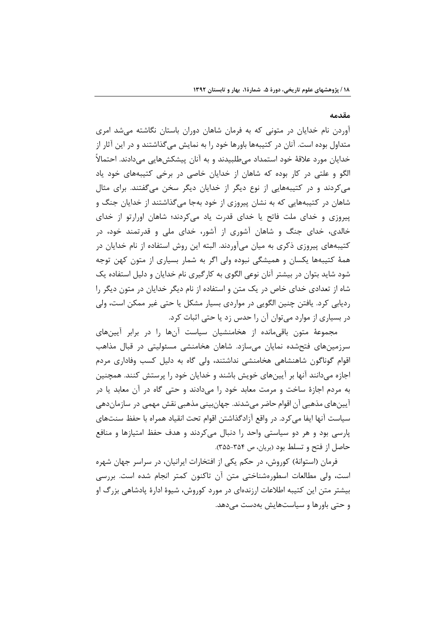#### مقدمه

آوردن نام خدایان در متونی که به فرمان شاهان دوران باستان نگاشته می شد امری متداول بوده است. آنان در کتیبهها باورها خود را به نمایش میگذاشتند و در این آثار از خدایان مورد علاقهٔ خود استمداد میطلبیدند و به آنان پیشکشهایی میدادند. احتمالاً الگو و علتی در کار بوده که شاهان از خدایان خاصی در برخی کتیبههای خود یاد می کردند و در کتیبههایی از نوع دیگر از خدایان دیگر سخن میگفتند. برای مثال شاهان در کتیبههایی که به نشان پیروزی از خود بهجا میگذاشتند از خدایان جنگ و پیروزی و خدای ملت فاتح یا خدای قدرت یاد می کردند؛ شاهان اورارتو از خدای خالدی، خدای جنگ و شاهان آشوری از آشور، خدای ملی و قدرتمند خود، در کتیبههای پیروزی ذکری به میان میآوردند. البته این روش استفاده از نام خدایان در همهٔ کتیبهها یکسان و همیشگی نبوده ولی اگر به شمار بسیاری از متون کهن توجه شود شاید بتوان در بیشتر آنان نوعی الگوی به کارگیری نام خدایان و دلیل استفاده یک شاه از تعدادی خدای خاص در یک متن و استفاده از نام دیگر خدایان در متون دیگر را ردیابی کرد. یافتن چنین الگویی در مواردی بسیار مشکل یا حتی غیر ممکن است، ولی در بسیاری از موارد می توان آن را حدس زد یا حتی اثبات کرد.

مجموعهٔ متون باقی مانده از هخامنشیان سیاست آنها را در برابر آیینهای سرزمینهای فتحشده نمایان میسازد. شاهان هخامنشی مسئولیتی در قبال مذاهب اقوام گوناگون شاهنشاهی هخامنشی نداشتند، ولی گاه به دلیل کسب وفاداری مردم اجازه میدانند آنها بر آیینهای خویش باشند و خدایان خود را پرستش کنند. همچنین به مردم اجازهٔ ساخت و مرمت معابد خود را میدادند و حتی گاه در آن معابد یا در آيينهاي مذهبي آن اقوام حاضر مي شدند. جهان بيني مذهبي نقش مهمي در سازماندهي سياست آنها ايفا ميكرد. در واقع آزادگذاشتن اقوام تحت انقياد همراه با حفظ سنتهاى پارسی بود و هر دو سیاستی واحد را دنبال میکردند و هدف حفظ امتیازها و منافع حاصل از فتح و تسلط بود (بريان، ص ٣٥٤-٣۵۵).

فرمان (استوانهٔ) کوروش، در حکم یکی از افتخارات ایرانیان، در سراسر جهان شهره است، ولي مطالعات اسطورهشناختي متن آن تاكنون كمتر انجام شده است. بررسي بیشتر متن این کتیبه اطلاعات ارزندهای در مورد کوروش، شیوهٔ ادارهٔ یادشاهی بزرگ او و حتے باورها و سیاستهایش بهدست مے دهد.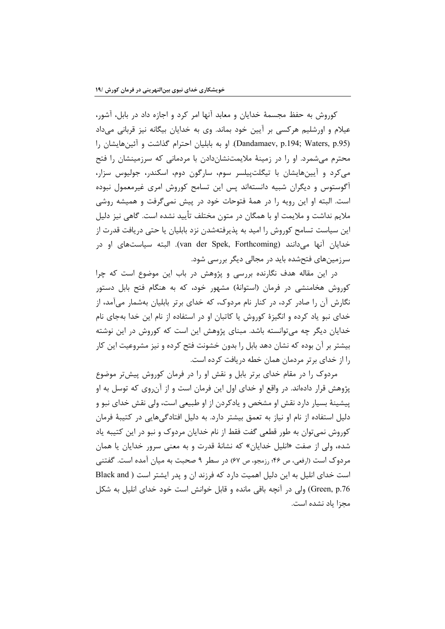کوروش به حفظ مجسمهٔ خدایان و معابد آنها امر کرد و اجازه داد در بابل، آشور، عیلام و اورشلیم هرکسی بر آیین خود بماند. وی به خدایان بیگانه نیز قربانی میداد (Dandamaev, p.194; Waters, p.95). او به بابلیان احترام گذاشت و آئینهایشان را محترم میشمرد. او را در زمینهٔ ملایمتنشاندادن با مردمانی که سرزمینشان را فتح می کرد و آیینهایشان با تیگلت پیلسر سوم، سارگون دوم، اسکندر، جولیوس سزار، آگوستوس و دیگران شبیه دانستهاند پس این تسامح کوروش امری غیرمعمول نبوده است. البته او این رویه را در همهٔ فتوحات خود در پیش نمیگرفت و همیشه روشی ملایم نداشت و ملایمت او با همگان در متون مختلف تأیید نشده است. گاهی نیز دلیل این سیاست تسامح کوروش را امید به پذیرفتهشدن نزد بابلیان یا حتی دریافت قدرت از خدایان آنها می\دانند (van der Spek, Forthcoming). البته سیاستهای او در سرزمینهای فتحشده باید در مجالی دیگر بررسی شود.

در این مقاله هدف نگارنده بررسی و پژوهش در باب این موضوع است که چرا کوروش هخامنشی در فرمان (استوانهٔ) مشهور خود، که به هنگام فتح بابل دستور نگارش آن را صادر کرد، در کنار نام مردوک، که خدای برتر بابلیان بهشمار میآمد، از خدای نبو یاد کرده و انگیزهٔ کوروش یا کاتبان او در استفاده از نام این خدا بهجای نام خدایان دیگر چه میتوانسته باشد. مبنای پژوهش این است که کوروش در این نوشته بیشتر بر آن بوده که نشان دهد بابل را بدون خشونت فتح کرده و نیز مشروعیت این کار را از خدای بر تر مردمان همان خطه دریافت کرده است.

مردوک را در مقام خدای برتر بابل و نقش او را در فرمان کوروش پیشتر موضوع پژوهش قرار دادهاند. در واقع او خدای اول این فرمان است و از آنروی که توسل به او پیشینهٔ بسیار دارد نقش او مشخص و یادکردن از او طبیعی است، ولی نقش خدای نبو و دلیل استفاده از نام او نیاز به تعمق بیشتر دارد. به دلیل افتادگیهایی در کتیبهٔ فرمان کوروش نمی توان به طور قطعی گفت فقط از نام خدایان مردوک و نبو در این کتیبه یاد شده، ولي از صفت «انليل خدايان» كه نشانهٔ قدرت و به معنى سرور خدايان يا همان مردوک است (ارفعی، ص ۴۶؛ رزمجو، ص ۶۷) در سطر ۹ صحبت به میان آمده است. گفتنی است خدای انلیل به این دلیل اهمیت دارد که فرزند ان و پدر ایشتر است ( Black and Green, p.76) ولي در آنچه باقي مانده و قابل خوانش است خود خداي انليل به شكل مجزا ياد نشده است.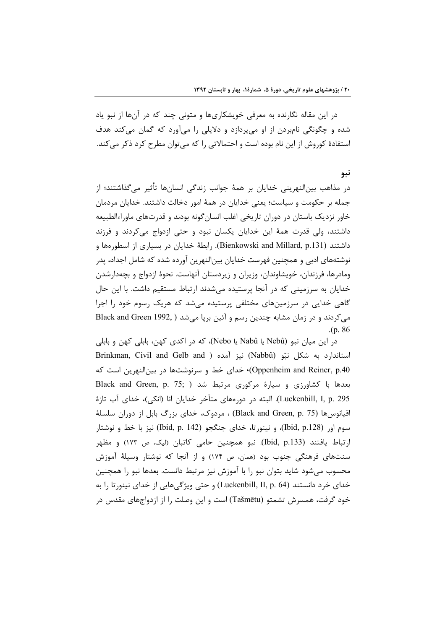در این مقاله نگارنده به معرفی خویشکاریها و متونی چند که در آنها از نبو یاد شده و چگونگی نامبردن از او میپردازد و دلایلی را میآورد که گمان میکند هدف استفادهٔ کوروش از این نام بوده است و احتمالاتی را که می توان مطرح کرد ذکر می کند.

نبو

در مذاهب بینالنهرینی خدایان بر همهٔ جوانب زندگی انسانها تأثیر میگذاشتند؛ از جمله بر حکومت و سیاست؛ یعنی خدایان در همهٔ امور دخالت داشتند. خدایان مردمان خاور نزدیک باستان در دوران تاریخی اغلب انسان گونه بودند و قدرتهای ماوراءالطبیعه داشتند، ولي قدرت همهٔ اين خدايان يكسان نبود و حتى ازدواج مي كردند و فرزند داشتند (Bienkowski and Millard, p.131). رابطهٔ خدایان در بسیاری از اسطورهها و نوشتههای ادبی و همچنین فهرست خدایان بین|لنهرین آورده شده که شامل اجداد، پدر ومادرها، فرزندان، خویشاوندان، وزیران و زیردستان آنهاست. نحوهٔ ازدواج و بچهدارشدن خدایان به سرزمینی که در آنجا پرستیده میشدند ارتباط مستقیم داشت. با این حال گاهی خدایی در سرزمینهای مختلفی پرستیده می شد که هریک رسوم خود را اجرا می کردند و در زمان مشابه چندین رسم و آئین برپا می شد ( Black and Green 1992,  $(p. 86)$ 

در این میان نبو (Nebû یا Nabû یا Nebo)، که در اکدی کهن، بابلی کهن و بابلی Brinkman, Civil and Gelb and ) نيز آمده ( Nabbû) ليز آمده ( Brinkman, Civil and Gelb and Oppenheim and Reiner, p.40) خدای خط و سرنوشتها در بینالنهرین است که Black and Green, p. 75; ) بعدها با کشاورزی و سیارهٔ مرکوری مرتبط شد Luckenbill, I, p. 295). البته در دورەهای متأخر خدایان ائا (انکی)، خدای آب تازهٔ اقیانوس۱ا (Black and Green, p. 75) ، مردوک، خدای بزرگ بابل از دوران سلسلهٔ سوم اور (Ibid, p.128)، و نينورتا، خداي جنگجو (Ibid, p. 142) نيز با خط و نوشتار ارتباط یافتند (Ibid, p.133). نبو همچنین حامی کاتبان (لیک، ص ۱۷۳) و مظهر سنتهای فرهنگی جنوب بود (همان، ص ۱۷۴) و از آنجا که نوشتار وسیلهٔ آموزش محسوب میشود شاید بتوان نبو را با آموزش نیز مرتبط دانست. بعدها نبو را همچنین خدای خرد دانستند (Luckenbill, II, p. 64) و حتی ویژگیهایی از خدای نینورتا را به خود گرفت، همسرش تشمتو (Tašmētu) است و این وصلت را از ازدواجهای مقدس در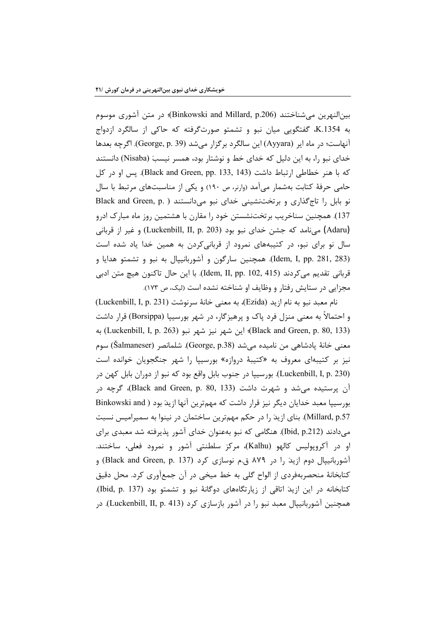بين|لنهرين مي,شناختند (Binkowski and Millard, p.206)؛ در متن آشوري موسوم به K.1354 گفتگویی میان نبو و تشمتو صورتگرفته که حاکی از سالگرد ازدواج آنهاست؛ در ماه ایر (Ayyara) این سالگرد برگزار میشد (George, p. 39). اگرچه بعدها خدای نبو را، به این دلیل که خدای خط و نوشتار بود، همسر نیسبَ (Nisaba) دانستند كه با هنر خطاطي ارتباط داشت (Black and Green, pp. 133, 143). يس او در كل حامی حرفهٔ کتابت بهشمار میآمد (وارنر، ص ۱۹۰) و یکی از مناسبتهای مرتبط با سال نو بابل را تاج گذاری و برتختنشینی خدای نبو می دانستند ( Black and Green, p.) 137). همچنین سناخریب برتختنشستن خود را مقارن با هشتمین روز ماه مبارک ادرو (Adaru) میiامد که جشن خدای نبو بود (Luckenbill, II, p. 203) و غیر از قربانی سال نو برای نبو، در کتیبههای نمرود از قربانی کردن به همین خدا یاد شده است (Idem, I, pp. 281, 283). همچنين سارگون و آشوربانييال به نبو و تشمتو هدايا و قرباني تقديم مي كردند (Idem, II, pp. 102, 415). با اين حال تاكنون هيچ متن ادبي مجزایی در ستایش رفتار و وظایف او شناخته نشده است (لیک، ص ١٧٣).

نام معبد نبو به نام ازيد (Ezida)، به معنى خانهٔ سرنوشت (Luckenbill, I, p. 231) و احتمالاً به معنی منزل فرد یاک و پرهیزگار، در شهر بورسییا (Borsippa) قرار داشت (Black and Green, p. 80, 133)؛ این شهر نیز شهر نبو (Luckenbill, I, p. 263) معنى خانهٔ پادشاهي من ناميده ميشد (George, p.38). شلمانصر (Šalmaneser) سوم نیز بر کتیبهای معروف به «کتیبهٔ دروازه» بورسییا را شهر جنگجویان خوانده است (Luckenbill, I, p. 230). بورسيپا در جنوب بابل واقع بود كه نبو از دوران بابل كهن در آن پرستیده می شد و شهرت داشت (Black and Green, p. 80, 133)، گرچه در بورسیپا معبد خدایان دیگر نیز قرار داشت که مهمترین آنها ازیدَ بود ( Binkowski and Millard, p.57). بنای ازیدَ را در حکم مهمترین ساختمان در نینوا به سمیرامیس نسبت میدادند (Ibid, p.212). هنگامی که نبو بهعنوان خدای آشور پذیرفته شد معبدی برای او در آکروپولیس کالهو (Kalhu)، مرکز سلطنتی آشور و نمرود فعلی، ساختند. آشوربانیپال دوم ازید را در ۸۷۹ ق.م نوسازی کرد (Black and Green, p. 137) و کتابخانهٔ منحصربهفردی از الواح گلی به خط میخی در آن جمعآوری کرد. محل دقیق کتابخانه در این ازید اتاقی از زیارتگاههای دوگانهٔ نبو و تشمتو بود (Ibid, p. 137). همچنین آشوربانییال معبد نبو را در آشور بازسازی کرد (Luckenbill, II, p. 413). در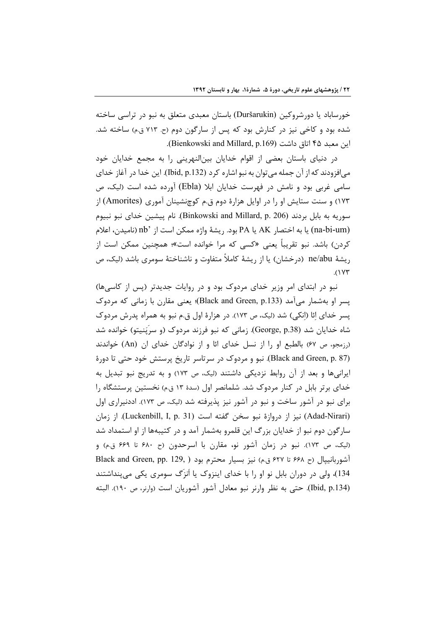خورساباد یا دورشروکین (Duršarukin) باستان معبدی متعلق به نبو در تراسی ساخته شده بود و کاخی نیز در کنارش بود که پس از سارگون دوم (ح. ۷۱۳ ق.م) ساخته شد. اين معبد ۴۵ اتاق داشت (Bienkowski and Millard, p.169).

در دنیای باستان بعضی از اقوام خدایان بینالنهرینی را به مجمع خدایان خود مي افزودند كه از آن جمله مي توان به نبو اشاره كرد (132.bid, p). اين خدا در آغاز خداي سامی غربی بود و نامش در فهرست خدایان ابلا (Ebla) آورده شده است (لیک، ص ۱۷۳) و سنت ستایش او را در اوایل هزارهٔ دوم ق.م کوچنشینان آموری (Amorites) از سوريه به بابل بردند (Binkowski and Millard, p. 206). نام پيشين خداي نبو نبيوم (na-bi-um) يا به اختصار AK يا PA بود. ريشهٔ واژه ممكن است از `nb (ناميدن، اعلام کردن) باشد. نبو تقریباً یعنی «کسی که مرا خوانده است»؛ همچنین ممکن است از , يشهٔ ne/abu (درخشان) يا از , يشهٔ كاملاً متفاوت و ناشناختهٔ سومری باشد (ليک، ص  $(1YY)$ 

نبو در ابتدای امر وزیر خدای مردوک بود و در روایات جدیدتر (پس از کاسیها) پسر او بهشمار می[مد (Black and Green, p.133)؛ یعنی مقارن با زمانی که مردوک یسر خدای ائا (انکی) شد (لیک، ص ۱۷۳). در هزارهٔ اول ق.م نبو به همراه پدرش مردوک شاه خدایان شد (George, p.38). زمانی که نبو فرزند مردوک (و سرپَنیتو) خوانده شد (رزمجو، ص ۶۷) بالطبع او را از نسل خدای ائا و از نوادگان خدای ان (An) خواندند (Black and Green, p. 87). نبو و مردوک در سرتاسر تاریخ پرستش خود حتی تا دورهٔ ایرانیها و بعد از آن روابط نزدیکی داشتند (لیک، ص ۱۷۳) و به تدریج نبو تبدیل به خدای برتر بابل در کنار مردوک شد. شلمانصر اول (سدهٔ ۱۳ ق.م) نخستین پرستشگاه را برای نبو در آشور ساخت و نبو در آشور نیز پذیرفته شد (لیک، ص ۱۷۳). اددنیراری اول (Adad-Nirari) نيز از دروازة نبو سخن گفته است (Luckenbill, I, p. 31). از زمان سارگون دوم نبو از خدایان بزرگ این قلمرو بهشمار آمد و در کتیبهها از او استمداد شد (ليک، ص ١٧٣). نبو در زمان آشور نو، مقارن با اسرحدون (ح ۶۸۰ تا ۶۶۹ ق.م) و آشوربانییال (ح ۶۶۸ تا ۶۲۷ ق.م) نیز بسیار محترم بود ( Black and Green, pp. 129, ) 134)، ولي در دوران بابل نو او را با خداي اينزوک يا اَنزَگ سومري يکي مي پنداشتند (Ibid, p.134). حتى به نظر وارنر نبو معادل أشور أشوريان است (وارنر، ص ١٩٠). البته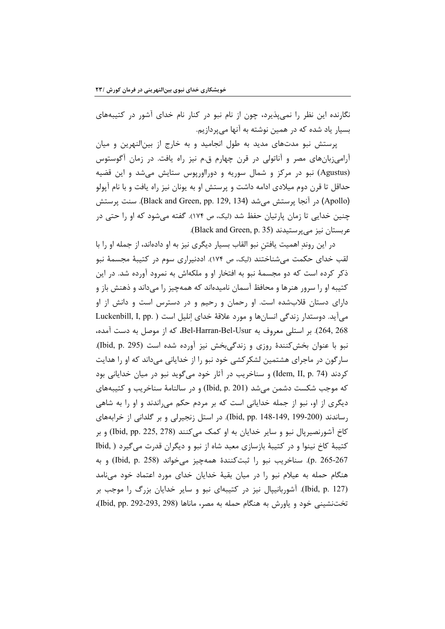نگارنده این نظر را نمیپذیرد، چون از نام نبو در کنار نام خدای آشور در کتیبههای بسیار یاد شده که در همین نوشته به آنها می پردازیم.

پرستش نبو مدتهای مدید به طول انجامید و به خارج از بینالنهرین و میان آرامیزبانهای مصر و آناتولی در قرن چهارم ق.م نیز راه یافت. در زمان آگوستوس (Agustus) نبو در مرکز و شمال سوریه و دورااورپوس ستایش می شد و این قضیه حداقل تا قرن دوم میلادی ادامه داشت و پرستش او به یونان نیز راه یافت و با نام آپولو (Apollo) در آنجا پرستش می شد (Black and Green, pp. 129, 134). سنت پرستش چنین خدایی تا زمان پارتیان حفظ شد (لیک، ص ۱۷۴). گفته می شود که او را حتی در عربستان نیز میپرستیدند (Black and Green, p. 35).

در این روند اهمیت یافتن نبو القاب بسیار دیگری نیز به او دادهاند، از جمله او را با لقب خدای حکمت می شناختند (لیک، ص ۱۷۴). اددنیراری سوم در کتیبهٔ مجسمهٔ نبو ذکر کرده است که دو مجسمهٔ نبو به افتخار او و ملکهاش به نمرود آورده شد. در این کتیبه او را سرور هنرها و محافظ آسمان نامیدهاند که همهچیز را میداند و ذهنش باز و دارای دستان قلابشده است. او رحمان و رحیم و در دسترس است و دانش از او می آید. دوستدار زندگی انسانها و مورد علاقهٔ خدای انلیل است ( .Luckenbill, I, pp 264, 268). بر استلی معروف به Bel-Harran-Bel-Usur، که از موصل به دست آمده، نبو با عنوان بخش کنندهٔ روزی و زندگی بخش نیز آورده شده است (Ibid, p. 295). سارگون در ماجرای هشتمین لشکرکشی خود نبو را از خدایانی می داند که او را هدایت کردند (Idem, II, p. 74) و سناخریب در آثار خود میگوید نبو در میان خدایانی بود که موجب شکست دشمن می شد (Ibid, p. 201) و در سالنامهٔ سناخریب و کتیبههای دیگری از او، نبو از جمله خدایانی است که بر مردم حکم می راندند و او را به شاهی رساندند (199-200 ,Did, pp. 148-149). در استل زنجیرلی و بر گلدانی از خرابههای کاخ آشورنصیرپال نبو و سایر خدایان به او کمک میکنند (Ibid, pp. 225, 278) و بر کتیبهٔ کاخ نینوا و در کتیبهٔ بازسازی معبد شاه از نبو و دیگران قدرت میگیرد ( .Ibid p. 265-267). سناخريب نبو را ثبت كنندة همهچيز مي خواند (Ibid, p. 258) و به هنگام حمله به عیلام نبو را در میان بقیهٔ خدایان خدای مورد اعتماد خود می نامد (Ibid, p. 127). آشوربانیپال نیز در کتیبهای نبو و سایر خدایان بزرگ را موجب بر تختنشینی خود و یاورش به هنگام حمله به مصر، ماناها (Did, pp. 292-293, 298)،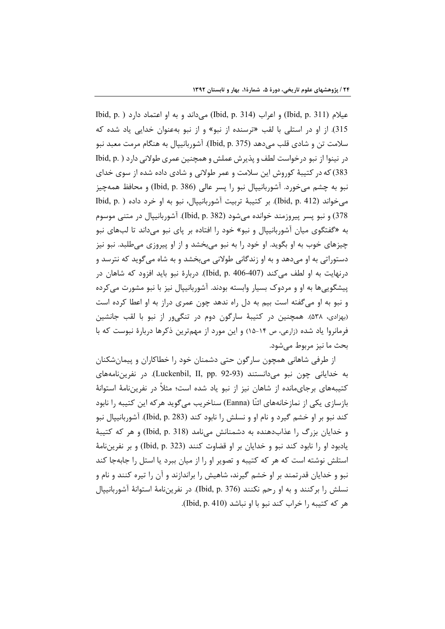عيلام (Ibid, p. 311) و اعراب (Ibid, p. 314) ميداند و به او اعتماد دارد ( .Ibid, p 315). از او در استلی با لقب «ترسنده از نبو» و از نبو بهعنوان خدایی یاد شده که سلامت تن و شادي قلب مي دهد (Ibid, p. 375). آشوربانييال به هنگام مرمت معبد نبو در نینوا از نبو درخواست لطف و پذیرش عملش و همچنین عمری طولانی دارد ( .Ibid, p 383) که در کتیبهٔ کوروش این سلامت و عمر طولانی و شادی داده شده از سوی خدای نبو به چشم میخورد. آشوربانیپال نبو را پسر عالی (ibid, p. 386) و محافظ همهچیز می خواند (Ibid, p. 412). بر کتیبهٔ تربیت آشوربانیپال، نبو به او خرد داده ( Ibid, p. ) 378) و نبو پسر پیروزمند خوانده می شود (Ibid, p. 382). آشوربانیپال در متنی موسوم به «گفتگوی میان آشوربانیپال و نبو» خود را افتاده بر پای نبو میداند تا لبهای نبو چیزهای خوب به او بگوید. او خود را به نبو میبخشد و از او پیروزی میطلبد. نبو نیز دستوراتی به او میدهد و به او زندگانی طولانی میبخشد و به شاه میگوید که نترسد و درنهایت به او لطف مے کند (407-406 Jbid, p. 40). دربارۂ نبو باید افزود که شاهان در پیشگوییها به او و مردوک بسیار وابسته بودند. آشوربانیپال نیز با نبو مشورت می کرده و نبو به او میگفته است بیم به دل راه ندهد چون عمری دراز به او اعطا کرده است (بهزادی، ۵۳۸). همچنین در کتیبهٔ سارگون دوم در تنگی ور از نبو با لقب جانشین فرمانروا یاد شده (زارعی، ص ١۴-١۵) و این مورد از مهمترین ذکرها دربارهٔ نبوست که با بحث ما نيز مربوط مي شود.

از طرفی شاهانی همچون سارگون حتی دشمنان خود را خطاکاران و پیمانشکنان به خدایانی چون نبو میدانستند (Luckenbil, II, pp. 92-93). در نفریننامههای کتیبههای برجایمانده از شاهان نیز از نبو یاد شده است؛ مثلاً در نفرینiامهٔ استوانهٔ بازسازی یکی از نمازخانههای ائنّا (Eanna) سناخریب میگوید هرکه این کتیبه را نابود کند نبو بر او خشم گیرد و نام او و نسلش را نابود کند (Ibid, p. 283). آشوربانیپال نبو و خدایان بزرگ را عذابدهنده به دشمنانش مینامد (Ibid, p. 318) و هر که کتیبهٔ يادبود او را نابود كند نبو و خدايان بر او قضاوت كنند (323 .Ibid, p) و بر نفرينiامهٔ استلش نوشته است که هر که کتیبه و تصویر او را از میان ببرد یا استل را جابهجا کند نبو و خدایان قدرتمند بر او خشم گیرند، شاهیش را براندازند و آن را تیره کنند و نام و نسلش را بركنند و به او رحم نكنند (Ibid, p. 376). در نفريننامهٔ استوانهٔ آشوربانييال هر كه كتيبه را خراب كند نبو با او نباشد (Ibid, p. 410).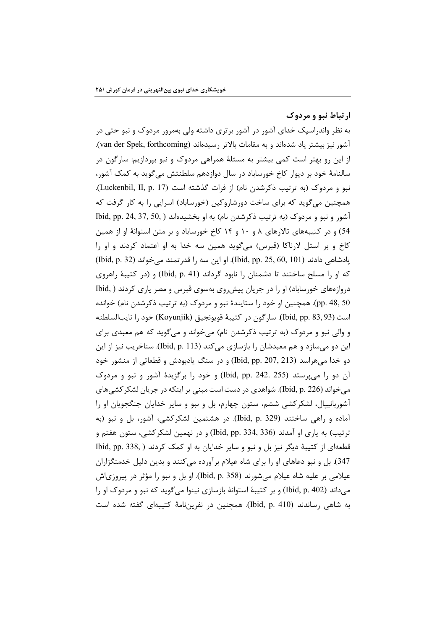ارتباط نبو و مردوک

به نظر واندراسپک خدای آشور در آشور برتری داشته ولی بهمرور مردوک و نبو حتی در آشور نیز بیشتر یاد شدهاند و به مقامات بالاتر رسیدهاند (van der Spek, forthcoming). از این رو بهتر است کمی بیشتر به مسئلهٔ همراهی مردوک و نبو بپردازیم: سارگون در سالنامهٔ خود بر دیوار کاخ خورساباد در سال دوازدهم سلطنتش می گوید به کمک آشور، نبو و مردوک (به ترتیب ذکرشدن نام) از فرات گذشته است (Luckenbil, II, p. 17). همچنین می گوید که برای ساخت دورشاروکین (خورساباد) اسرایی را به کار گرفت که آشور و نبو و مردوک (به ترتیب ذکرشدن نام) به او بخشیدهاند ( ,Did, pp. 24, 37, 50 54) و در کتیبههای تالارهای ۸ و ۱۰ و ۱۴ کاخ خورساباد و بر متن استوانهٔ او از همین کاخ و بر استل لارناکا (قبرس) میگوید همین سه خدا به او اعتماد کردند و او را يادشاهي دادند (Ibid, pp. 25, 60, 101). او اين سه را قدر تمند مي خواند (Ibid, p. 32) که او را مسلح ساختند تا دشمنان را نابود گرداند (Ibid, p. 41) و (در کتیبهٔ راهروی دروازههای خورساباد) او را در جریان پیش روی بهسوی قبرس و مصر یاری کردند ( .Ibid pp. 48, 50). همچنین او خود را ستایندهٔ نبو و مردوک (به ترتیب ذکرشدن نام) خوانده است (Ibid, pp. 83, 93). ساركون در كتيبة قويونجيق (Koyunjik) خود را نايبالسلطنه و والي نبو و مردوک (به ترتيب ذکرشدن نام) مي خواند و مي گويد که هم معبدي براي این دو میسازد و هم معبدشان را بازسازی میکند (Ibid, p. 113). سناخریب نیز از این دو خدا میهراسد (Ibid, pp. 207, 213) و در سنگ یادبودش و قطعاتی از منشور خود آن دو را میپرستد (255 .242 .Did, pp و خود را برگزیدهٔ آشور و نبو و مردوک میخواند (Ibid, p. 226). شواهدی در دست است مبنی بر اینکه در جریان لشکر کشی های آشوربانیپال، لشکرکشی ششم، ستون چهارم، بل و نبو و سایر خدایان جنگجویان او را آماده و راهی ساختند (Ibid, p. 329). در هشتمین لشکرکشی، آشور، بل و نبو (به ترتيب) به ياري او آمدند (336 ,158 .Jbid, pp) و در نهمين لشكركشي، ستون هفتم و قطعهای از کتیبهٔ دیگر نیز بل و نبو و سایر خدایان به او کمک کردند ( ,Ibid, pp. 338 347). بل و نبو دعاهای او را برای شاه عیلام برآورده می کنند و بدین دلیل خدمتگزاران عیلامی بر علیه شاه عیلام میشورند (Ibid, p. 358). او بل و نبو را مؤثر در پیروزیاش میداند (Ibid, p. 402) و بر کتیبهٔ استوانهٔ بازسازی نینوا میگوید که نبو و مردوک او را به شاهی رساندند (Ibid, p. 410). همچنین در نفرین،نامهٔ کتیبهای گفته شده است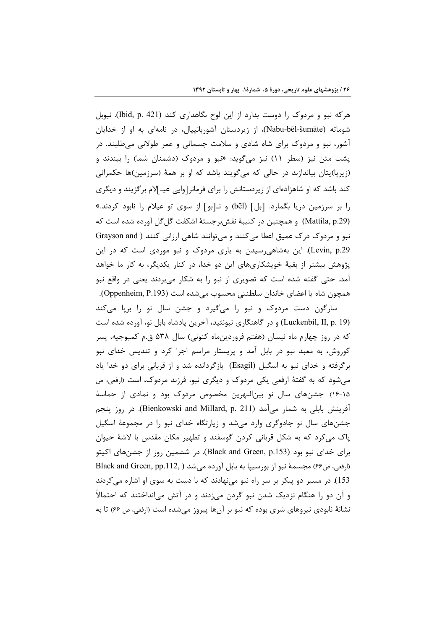هرکه نبو و مردوک را دوست بدارد از این لوح نگاهداری کند (Ibid, p. 421). نبوبل شوماته (Nabu-bēl-šumāte)، از زیردستان آشوربانیپال، در نامهای به او از خدایان آشور، نبو و مردوک برای شاه شادی و سلامت جسمانی و عمر طولانی میطلبند. در پشت متن نیز (سطر ١١) نیز می گوید: «نبو و مردوک (دشمنان شما) را ببندند و (زیریا)پتان بیاندازند در حالی که میگویند باشد که او بر همهٔ (سرزمین)ها حکمرانی کند باشد که او شاهزادهای از زیردستانش را برای فرمانر[وایی عیـ]لام برگزیند و دیگری را بر سرزمین دریا بگمارد. [بل] (bēl) و نـ[بو] از سوی تو عیلام را نابود کردند.» (Mattila, p.29) و همچنین در کتیبهٔ نقشبرجستهٔ اشکفت گلگل آورده شده است که نبو و مردوک درک عمیق اعطا میکنند و میتوانند شاهی ارزانی کنند ( Grayson and Levin, p.29). این بهشاهی رسیدن به یاری مردوک و نبو موردی است که در این پژوهش بیشتر از بقیهٔ خویشکاریهای این دو خدا، در کنار یکدیگر، به کار ما خواهد آمد. حتی گفته شده است که تصویری از نبو را به شکار میبردند یعنی در واقع نبو همچون شاه یا اعضای خاندان سلطنتی محسوب می شده است (Oppenheim, P.193).

سارگون دست مردوک و نبو را میگیرد و جشن سال نو را برپا میکند (Luckenbil, II, p. 19) و در گاهنگاری نبونئید، آخرین پادشاه بابل نو، آورده شده است که در روز چهارم ماه نیسان (هفتم فروردینِماه کنونی) سال ۵۳۸ ق.م کمبوجیه، پسر کوروش، به معبد نبو در بابل آمد و پریستار مراسم اجرا کرد و تندیس خدای نبو برگرفته و خدای نبو به اسگیل (Esagil) بازگردانده شد و از قربانی برای دو خدا یاد می شود که به گفتهٔ ارفعی یکی مردوک و دیگری نبو، فرزند مردوک، است (ارفعی، ص ۱۵-۱۶). جشنهای سال نو بینالنهرین مخصوص مردوک بود و نمادی از حماسهٔ آفرینش بابلی به شمار میآمد (Bienkowski and Millard, p. 211). در روز پنجم جشنهای سال نو جادوگری وارد میشد و زیارتگاه خدای نبو را در مجموعهٔ اسگیل پاک میکرد که به شکل قربانی کردن گوسفند و تطهیر مکان مقدس با لاشهٔ حیوان برای خدای نبو بود (Black and Green, p.153). در ششمین روز از جشنهای اکیتو (ارفعي، ص۶۶) مجسمهٔ نبو از بورسيپا به بابل آورده ميشد ( Black and Green, pp.112, 153). در مسیر دو پیکر بر سر راه نبو می نهادند که با دست به سوی او اشاره می کردند و آن دو را هنگام نزدیک شدن نبو گردن می;دند و در آتش می|نداختند که احتمالاً نشانهٔ نابودی نیروهای شری بوده که نبو بر آنها پیروز میشده است (ارفعی، ص ۶۶) تا به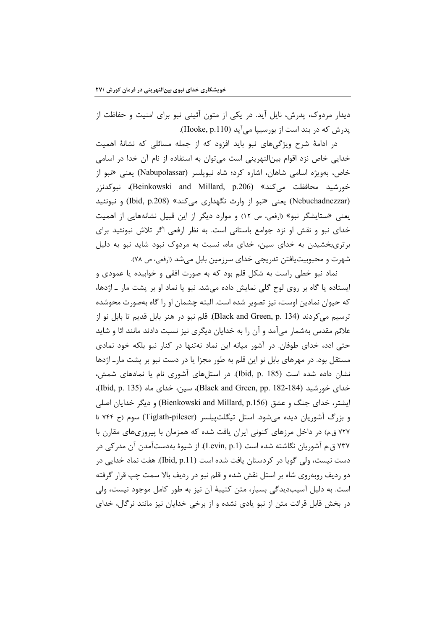دیدار مردوک، پدرش، نایل آید. در یکی از متون آئینی نبو برای امنیت و حفاظت از پدرش که در بند است از بورسیپا می آید (Hooke, p.110).

در ادامهٔ شرح ویژگیهای نبو باید افزود که از جمله مسائلی که نشانهٔ اهمیت خدایی خاص نزد اقوام بینالنهرینی است می توان به استفاده از نام آن خدا در اسامی خاص، بهویژه اسامی شاهان، اشاره کرد؛ شاه نبویلسر (Nabupolassar) یعنی «نبو از خورشيد محافظت ميكند» (Beinkowski and Millard, p.206)، نبوكدنزر (Nebuchadnezzar) یعنی «نبو از وارث نگهداری میکند» (Ibid, p.208) و نبونئید یعنی «ستایشگر نبو» (ارفعی، ص ١٢) و موارد دیگر از این قبیل نشانههایی از اهمیت خدای نبو و نقش او نزد جوامع باستانی است. به نظر ارفعی اگر تلاش نبونئید برای برتریبخشیدن به خدای سین، خدای ماه، نسبت به مردوک نبود شاید نبو به دلیل شهرت و محبوبيت يافتن تدريجي خداي سرزمين بابل مي شد (ارفعي، ص ٧٨).

نماد نبو خطی راست به شکل قلم بود که به صورت افقی و خوابیده یا عمودی و ایستاده یا گاه بر روی لوح گلی نمایش داده میشد. نبو یا نماد او بر پشت مار ـ اژدها، که حیوان نمادین اوست، نیز تصویر شده است. البته چشمان او را گاه بهصورت محوشده ترسيم مي كردند (Black and Green, p. 134). قلم نبو در هنر بابل قديم تا بابل نو از علائم مقدس بهشمار میآمد و آن را به خدایان دیگری نیز نسبت دادند مانند ائا و شاید حتی ادد، خدای طوفان. در آشور میانه این نماد نهتنها در کنار نبو بلکه خود نمادی مستقل بود. در مهرهای بابل نو این قلم به طور مجزا یا در دست نبو بر پشت مارـ اژدها نشان داده شده است (185 .bid, p.). در استلهای آشوری نام یا نمادهای شمش، خدای خورشید (Black and Green, pp. 182-184)، سین، خدای ماه (Ibid, p. 135)، ایشتر، خدای جنگ و عشق (Bienkowski and Millard, p.156) و دیگر خدایان اصلی و بزرگ آشوریان دیده می شود. استل تیگلتپیلسر (Tiglath-pileser) سوم (ح ۷۴۴ تا ۷۲۷ ق.م) در داخل مرزهای کنونی ایران یافت شده که همزمان با پیروزیهای مقارن با ۷۳۷ ق.م آشوریان نگاشته شده است (Levin, p.1). از شیوهٔ بهدستآمدن آن مدرکی در دست نیست، ولی گویا در کردستان یافت شده است (Ibid, p.11). هفت نماد خدایی در دو رديف روبهروي شاه بر استل نقش شده و قلم نبو در رديف بالا سمت چپ قرار گرفته است. به دلیل آسیبدیدگی بسیار، متن کتیبهٔ آن نیز به طور کامل موجود نیست، ولی در بخش قابل قرائت متن از نبو یادی نشده و از برخی خدایان نیز مانند نرگال، خدای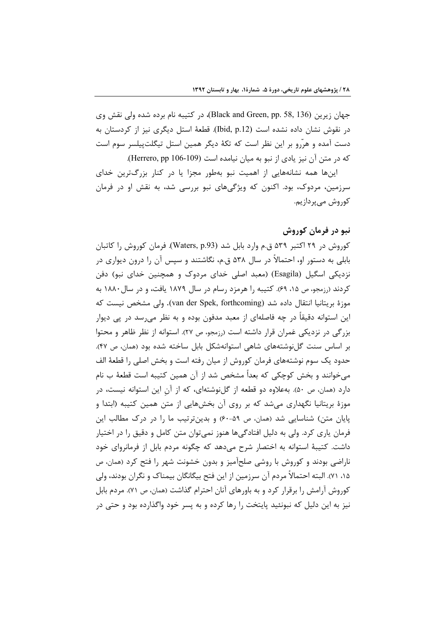جهان زيرين (Black and Green, pp. 58, 136)، در كتيبه نام برده شده ولي نقش وي در نقوش نشان داده نشده است (Ibid, p.12). قطعهٔ استل دیگری نیز از کردستان به دست آمده و هرّرو بر این نظر است که تکهٔ دیگر همین استل تیگلتیپلسر سوم است كه در متن آن نيز يادي از نبو به ميان نيامده است (Herrero, pp 106-109).

اینها همه نشانههایی از اهمیت نبو بهطور مجزا یا در کنار بزرگترین خدای سرزمین، مردوک، بود. اکنون که ویژگیهای نبو بررسی شد، به نقش او در فرمان کوروش می پردازیم.

## نبو در فرمان کوروش

کوروش در ۲۹ اکتبر ۵۳۹ ق.م وارد بابل شد (Waters, p.93). فرمان کوروش را کاتبان بابلی به دستور او، احتمالاً در سال ۵۳۸ ق.م، نگاشتند و سپس آن را درون دیواری در نزدیکی اسگیل (Esagila) (معبد اصلی خدای مردوک و همچنین خدای نبو) دفن کردند (رزمجو، ص ۱۵، ۶۹). کتیبه را هرمزد رسام در سال ۱۸۷۹ یافت، و در سال ۱۸۸۰ به موزهٔ بریتانیا انتقال داده شد (van der Spek, forthcoming). ولی مشخص نیست که این استوانه دقیقاً در چه فاصلهای از معبد مدفون بوده و به نظر میرسد در پی دیوار بزرگی در نزدیکی عَمران قرار داشته است (رزمجو، ص ۲۷). استوانه از نظر ظاهر و محتوا بر اساس سنت گلنوشتههای شاهی استوانهشکل بابل ساخته شده بود (همان، ص ۴۷). حدود یک سوم نوشتههای فرمان کوروش از میان رفته است و بخش اصلی را قطعهٔ الف میخوانند و بخش کوچکی که بعداً مشخص شد از آن همین کتیبه است قطعهٔ ب نام دارد (همان، ص ۵۰). بهعلاوه دو قطعه از گلنوشتهای، که از آن این استوانه نیست، در موزهٔ بریتانیا نگهداری می شد که بر روی آن بخشهایی از متن همین کتیبه (ابتدا و پایان متن) شناسایی شد (همان، ص ۵۹-۶۰) و بدینترتیب ما را در درک مطالب این فرمان پاری کرد. ولی به دلیل افتادگیها هنوز نمیتوان متن کامل و دقیق را در اختیار داشت. کتیبهٔ استوانه به اختصار شرح می دهد که چگونه مردم بابل از فرمانروای خود ناراضی بودند و کوروش با روشی صلحآمیز و بدون خشونت شهر را فتح کرد (همان، ص ۱۵، ۷۱). البته احتمالاً مردم آن سرزمین از این فتح بیگانگان بیمناک و نگران بودند، ولی کوروش آرامش را برقرار کرد و به باورهای آنان احترام گذاشت (همان، ص ۷۱). مردم بابل نیز به این دلیل که نبونئید پایتخت را رها کرده و به پسر خود واگذارده بود و حتی در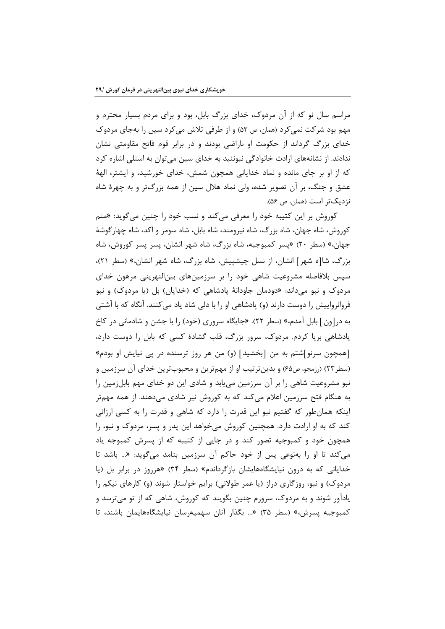مراسم سال نو که از آن مردوک، خدای بزرگ بابل، بود و برای مردم بسیار محترم و مهم بود شرکت نمی کرد (همان، ص ۵۳) و از طرفی تلاش می کرد سین را بهجای مردوک خدای بزرگ گرداند از حکومت او ناراضی بودند و در برابر قوم فاتح مقاومتی نشان ندادند. از نشانههای ارادت خانوادگی نبونئید به خدای سین میتوان به استلی اشاره کرد که از او بر جای مانده و نماد خدایانی همچون شمش، خدای خورشید، و ایشتر، الههٔ عشق و جنگ، بر آن تصویر شده، ولی نماد هلال سین از همه بزرگتر و به چهرهٔ شاه نزديکتر است (همان، ص ۵۶).

کوروش بر این کتیبه خود را معرفی میکند و نسب خود را چنین میگوید: «منم کوروش، شاه جهان، شاه بزرگ، شاه نیرومند، شاه بابل، شاه سومر و اکد، شاه چهارگوشهٔ جهان،» (سطر ۲۰) «پسر کمبوجیه، شاه بزرگ، شاه شهر انشان، پسر پسر کوروش، شاه بزرگ، شا[ه شهر] انشان، از نسل چیشییش، شاه بزرگ، شاه شهر انشان،» (سطر ۲۱)، سیس بلافاصله مشروعیت شاهی خود را بر سرزمینهای بین|لنهرینی مرهون خدای مردوک و نبو میداند: «دودمان جاودانهٔ یادشاهی که (خدایان) بل (یا مردوک) و نبو فروانرواییش را دوست دارند (و) پادشاهی او را با دلی شاد یاد میکنند. آنگاه که با آشتی به در[ون] بابل آمدم،» (سطر ٢٢). «جایگاه سروری (خود) را با جشن و شادمانی در کاخ یادشاهی بریا کردم. مردوک، سرور بزرگ، قلب گشادهٔ کسی که بابل را دوست دارد، [همچون سرنو]شتم به من [بخشید] (و) من هر روز ترسنده در یی نیایش او بودم» (سطر۲۳) (رزمجو، ص۶۵) و بدینتر تیب او از مهمترین و محبوبترین خدای آن سرزمین و نبو مشروعیت شاهی را بر آن سرزمین می یابد و شادی این دو خدای مهم بابلزمین را به هنگام فتح سرزمین اعلام می کند که به کوروش نیز شادی میدهند. از همه مهمتر اینکه همانطور که گفتیم نبو این قدرت را دارد که شاهی و قدرت را به کسی ارزانی کند که به او ارادت دارد. همچنین کوروش میخواهد این پدر و پسر، مردوک و نبو، را همچون خود و کمبوجیه تصور کند و در جایی از کتیبه که از پسرش کمبوجه یاد می کند تا او را بهنوعی پس از خود حاکم آن سرزمین بنامد میگوید: «... باشد تا خدایانی که به درون نیایشگاههایشان بازگرداندم» (سطر ۳۴) «هرروز در برابر بل (یا مردوک) و نبو، روزگاری دراز (یا عمر طولانی) برایم خواستار شوند (و) کارهای نیکم را یادآور شوند و به مردوک، سرورم چنین بگویند که کوروش، شاهی که از تو میترسد و کمبوجیه پسرش،» (سطر ۳۵) «... بگذار آنان سهمیهرسان نیایشگاههایمان باشند، تا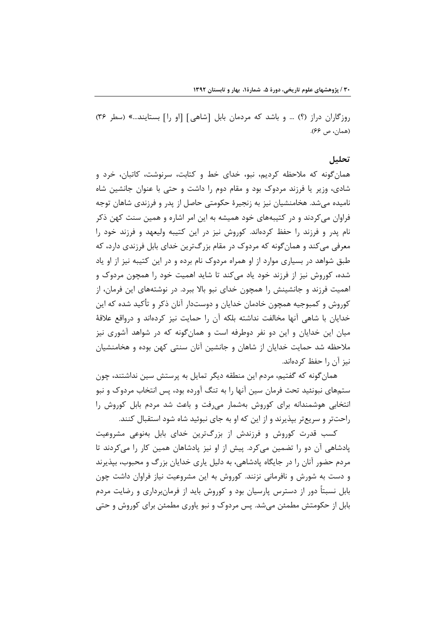روزگاران دراز (؟) … و باشد كه مردمان بابل [شاهي] [او را] بستايند…» (سطر ٣۶) (همان، ص ۶۶).

#### تحليل

همان گونه که ملاحظه کردیم، نبو، خدای خط و کتابت، سرنوشت، کاتبان، خرد و شادی، وزیر یا فرزند مردوک بود و مقام دوم را داشت و حتی با عنوان جانشین شاه نامیده میشد. هخامنشیان نیز به زنجیرهٔ حکومتی حاصل از پدر و فرزندی شاهان توجه فراوان می کردند و در کتیبههای خود همیشه به این امر اشاره و همین سنت کهن ذکر نام پدر و فرزند را حفظ کردهاند. کوروش نیز در این کتیبه ولیعهد و فرزند خود را معرفی می کند و همان گونه که مردوک در مقام بزرگترین خدای بابل فرزندی دارد، که طبق شواهد در بسیاری موارد از او همراه مردوک نام برده و در این کتیبه نیز از او یاد شده، کوروش نیز از فرزند خود یاد می کند تا شاید اهمیت خود را همچون مردوک و اهمیت فرزند و جانشینش را همچون خدای نبو بالا ببرد. در نوشتههای این فرمان، از کوروش و کمبوجیه همچون خادمان خدایان و دوستدار آنان ذکر و تأکید شده که این خدایان با شاهی آنها مخالفت نداشته بلکه آن را حمایت نیز کردهاند و درواقع علاقهٔ میان این خدایان و این دو نفر دوطرفه است و همان گونه که در شواهد آشوری نیز ملاحظه شد حمایت خدایان از شاهان و جانشین آنان سنتی کهن بوده و هخامنشیان نيز آن ,ا حفظ كردهاند.

همان گونه که گفتیم، مردم این منطقه دیگر تمایل به پرستش سین نداشتند، چون ستمهای نبونئید تحت فرمان سین آنها را به تنگ آورده بود، پس انتخاب مردوک و نبو انتخابی هوشمندانه برای کوروش بهشمار میرفت و باعث شد مردم بابل کوروش را راحتتر و سریعتر بپذیرند و از این که او به جای نبوئید شاه شود استقبال کنند.

کسب قدرت کوروش و فرزندش از بزرگترین خدای بابل بهنوعی مشروعیت پادشاهی آن دو را تضمین میکرد. پیش از او نیز پادشاهان همین کار را میکردند تا مردم حضور آنان را در جایگاه یادشاهی، به دلیل پاری خدایان بزرگ و محبوب، بیذیرند و دست به شورش و نافرمانی نزنند. کوروش به این مشروعیت نیاز فراوان داشت چون بابل نسبتاً دور از دسترس پارسیان بود و کوروش باید از فرمانبرداری و رضایت مردم بابل از حکومتش مطمئن میشد. پس مردوک و نبو یاوری مطمئن برای کوروش و حتی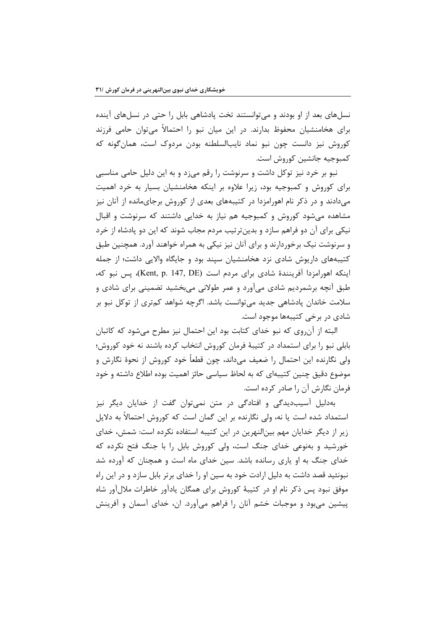نسلهای بعد از او بودند و میتوانستند تخت پادشاهی بابل را حتی در نسلهای آینده برای هخامنشیان محفوظ بدارند. در این میان نبو را احتمالاً میتوان حامی فرزند کوروش نیز دانست چون نبو نماد نایبالسلطنه بودن مردوک است، همانگونه که كمبوجيه جانشين كوروش است.

نبو بر خرد نیز توکل داشت و سرنوشت را رقم می;د و به این دلیل حامی مناسبی برای کوروش و کمبوجیه بود، زیرا علاوه بر اینکه هخامنشیان بسیار به خرد اهمیت میدادند و در ذکر نام اهورامزدا در کتیبههای بعدی از کوروش برجایمانده از آنان نیز مشاهده می شود کوروش و کمبوجیه هم نیاز به خدایی داشتند که سرنوشت و اقبال نیکی برای آن دو فراهم سازد و بدینترتیب مردم مجاب شوند که این دو پادشاه از خرد و سرنوشت نیک برخوردارند و برای آنان نیز نیکی به همراه خواهند آورد. همچنین طبق کتیبههای داریوش شادی نزد هخامنشیان سیند بود و جایگاه والایی داشت؛ از جمله اینکه اهورامزدا آفرینندهٔ شادی برای مردم است (Kent, p. 147, DE)، پس نبو که، طبق آنچه برشمردیم شادی میآورد و عمر طولانی میبخشید تضمینی برای شادی و سلامت خاندان پادشاهی جدید میتوانست باشد. اگرچه شواهد کمتری از توکل نبو بر شادی در برخی کتیبهها موجود است.

البته از آنروی که نبو خدای کتابت بود این احتمال نیز مطرح میشود که کاتبان بابلی نبو را برای استمداد در کتیبهٔ فرمان کوروش انتخاب کرده باشند نه خود کوروش؛ ولي نگارنده اين احتمال را ضعيف مي‹داند، چون قطعاً خود كوروش از نحوهٔ نگارش و موضوع دقیق چنین کتیبهای که به لحاظ سیاسی حائز اهمیت بوده اطلاع داشته و خود فرمان نگارش آن را صادر کرده است.

بهدلیل اسیبدیدگی و افتادگی در متن نمیتوان گفت از خدایان دیگر نیز استمداد شده است یا نه، ولی نگارنده بر این گمان است که کوروش احتمالاً به دلایل زیر از دیگر خدایان مهم بینالنهرین در این کتیبه استفاده نکرده است: شمش، خدای خورشید و بهنوعی خدای جنگ است، ولی کوروش بابل را با جنگ فتح نکرده که خدای جنگ به او پاری رسانده باشد. سین خدای ماه است و همچنان که آورده شد نبونئید قصد داشت به دلیل ارادت خود به سین او را خدای برتر بابل سازد و در این راه موفق نبود پس ذکر نام او در کتیبهٔ کوروش برای همگان یادآور خاطرات ملالآور شاه پیشین می بود و موجبات خشم آنان را فراهم می آورد. ان، خدای آسمان و آفرینش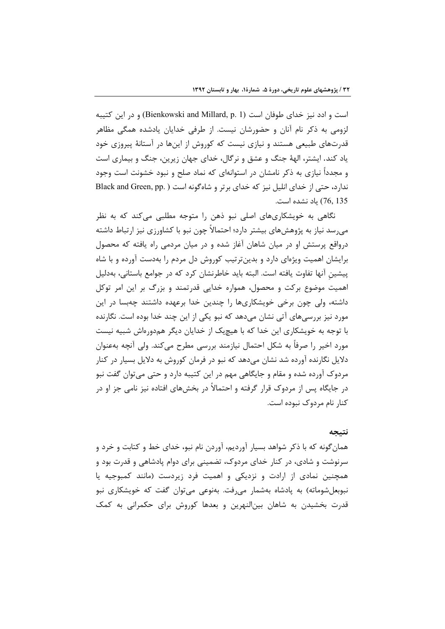است و ادد نیز خدای طوفان است (Bienkowski and Millard, p. 1) و در این کتیبه لزومی به ذکر نام آنان و حضورشان نیست. از طرفی خدایان یادشده همگی مظاهر قدرتهای طبیعی هستند و نیازی نیست که کوروش از اینها در آستانهٔ پیروزی خود یاد کند. ایشتر، الههٔ جنگ و عشق و نرگال، خدای جهان زیرین، جنگ و بیماری است و مجدداً نیازی به ذکر نامشان در استوانهای که نماد صلح و نبود خشونت است وجود ندارد، حتی از خدای انلیل نیز که خدای برتر و شاهگونه است (Black and Green, pp.) 76, 135) ياد نشده است.

نگاهی به خویشکاریهای اصلی نبو ذهن را متوجه مطلبی می کند که به نظر میرسد نیاز به پژوهشهای بیشتر دارد؛ احتمالاً چون نبو با کشاورزی نیز ارتباط داشته درواقع پرستش او در میان شاهان آغاز شده و در میان مردمی راه یافته که محصول برایشان اهمیت ویژهای دارد و بدینترتیب کوروش دل مردم را بهدست آورده و با شاه پیشین آنها تفاوت یافته است. البته باید خاطرنشان کرد که در جوامع باستانی، بهدلیل اهمیت موضوع برکت و محصول، همواره خدایی قدرتمند و بزرگ بر این امر توکل داشته، ولی چون برخی خویشکاریها را چندین خدا برعهده داشتند چهبسا در این مورد نیز بررسی،های آتی نشان می،دهد که نبو یکی از این چند خدا بوده است. نگارنده با توجه به خویشکاری این خدا که با هیچیک از خدایان دیگر همدورماش شبیه نیست مورد اخیر را صرفاً به شکل احتمال نیازمند بررسی مطرح میکند. ولی آنچه بهعنوان دلایل نگارنده آورده شد نشان میدهد که نبو در فرمان کوروش به دلایل بسیار در کنار مردوک آورده شده و مقام و جایگاهی مهم در این کتیبه دارد و حتی می توان گفت نبو در جایگاه پس از مردوک قرار گرفته و احتمالاً در بخشهای افتاده نیز نامی جز او در كنار نام مردوك نبوده است.

## نتىحە

همان گونه که با ذکر شواهد بسیار آوردیم، آوردن نام نبو، خدای خط و کتابت و خرد و سرنوشت و شادی، در کنار خدای مردوک، تضمینی برای دوام یادشاهی و قدرت بود و همچنین نمادی از ارادت و نزدیکی و اهمیت فرد زیردست (مانند کمبوجیه یا نبوبعل شوماته) به پادشاه بهشمار میرفت. بهنوعی میتوان گفت که خویشکاری نبو قدرت بخشیدن به شاهان بین|لنهرین و بعدها کوروش برای حکمرانی به کمک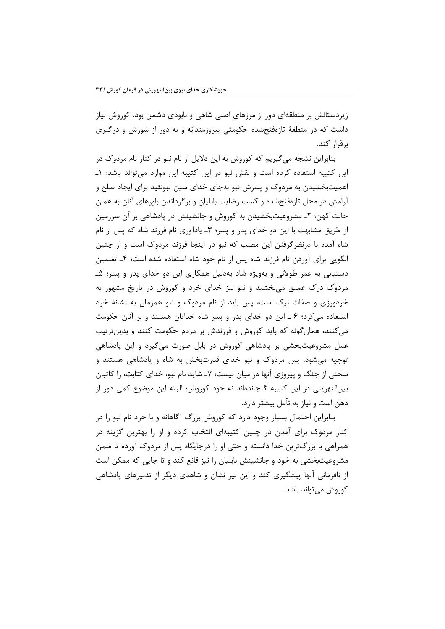زیردستانش بر منطقهای دور از مرزهای اصلی شاهی و نابودی دشمن بود. کوروش نیاز داشت که در منطقهٔ تازهفتحشده حکومتی پیروزمندانه و به دور از شورش و درگیری برقرار كند.

بنابراین نتیجه میگیریم که کوروش به این دلایل از نام نبو در کنار نام مردوک در این کتیبه استفاده کرده است و نقش نبو در این کتیبه این موارد می تواند باشد: ۱ـ اهمیتبخشیدن به مردوک و پسرش نبو بهجای خدای سین نبونئید برای ایجاد صلح و آرامش در محل تازهفتحشده و کسب رضایت بابلیان و برگرداندن باورهای آنان به همان حالت کهن؛ ۲ـ مشروعیتبخشیدن به کوروش و جانشینش در یادشاهی بر آن سرزمین از طریق مشابهت با این دو خدای پدر و پسر؛ ۳ـ یادآوری نام فرزند شاه که پس از نام شاه آمده با درنظرگرفتن این مطلب که نبو در اینجا فرزند مردوک است و از چنین الگویی برای آوردن نام فرزند شاه پس از نام خود شاه استفاده شده است؛ ۴ـ تضمین دستیابی به عمر طولانی و بهویژه شاد بهدلیل همکاری این دو خدای پدر و پسر؛ ۵ـ مردوک درک عمیق میبخشید و نبو نیز خدای خرد و کوروش در تاریخ مشهور به خردورزی و صفات نیک است، پس باید از نام مردوک و نبو همزمان به نشانهٔ خرد استفاده می کرد؛ ۶ ـ این دو خدای پدر و پسر شاه خدایان هستند و بر آنان حکومت میکنند، همانگونه که باید کوروش و فرزندش بر مردم حکومت کنند و بدینترتیب عمل مشروعیتبخشی بر پادشاهی کوروش در بابل صورت میگیرد و این پادشاهی توجیه می شود. پس مردوک و نبو خدای قدرتبخش به شاه و یادشاهی هستند و سخنی از جنگ و پیروزی آنها در میان نیست؛ ۷ـ شاید نام نبو، خدای کتابت، را کاتبان بین|لنهرینی در این کتیبه گنجاندهاند نه خود کوروش؛ البته این موضوع کمی دور از ذهن است و نیاز به تأمل بیشتر دارد.

بنابراین احتمال بسیار وجود دارد که کوروش بزرگ آگاهانه و با خرد نام نبو را در کنار مردوک برای آمدن در چنین کتیبهای انتخاب کرده و او را بهترین گزینه در همراهی با بزرگترین خدا دانسته و حتی او را درجایگاه پس از مردوک آورده تا ضمن مشروعیتبخشی به خود و جانشینش بابلیان را نیز قانع کند و تا جایی که ممکن است از نافرمانی آنها پیشگیری کند و این نیز نشان و شاهدی دیگر از تدبیرهای پادشاهی کوروش مے تواند باشد.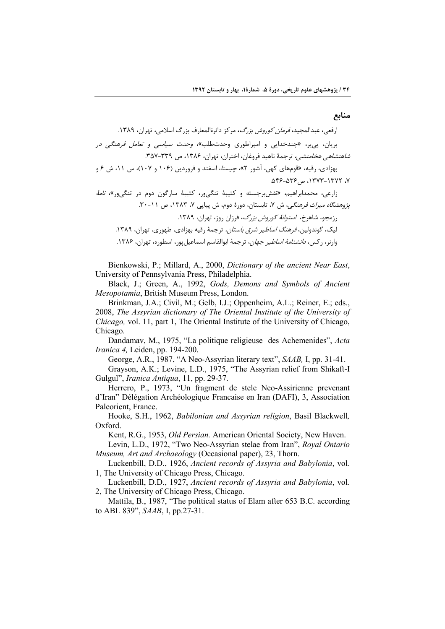منابع

Bienkowski, P.; Millard, A., 2000, Dictionary of the ancient Near East, University of Pennsylvania Press, Philadelphia.

Black, J.; Green, A., 1992, Gods, Demons and Symbols of Ancient *Mesopotamia*, British Museum Press, London.

Brinkman, J.A.; Civil, M.; Gelb, I.J.; Oppenheim, A.L.; Reiner, E.; eds., 2008, The Assyrian dictionary of The Oriental Institute of the University of Chicago, vol. 11, part 1, The Oriental Institute of the University of Chicago, Chicago.

Dandamav, M., 1975, "La politique religieuse des Achemenides", Acta *Iranica 4*, Leiden, pp. 194-200.

George, A.R., 1987, "A Neo-Assyrian literary text", SAAB, I, pp. 31-41.

Grayson, A.K.; Levine, L.D., 1975, "The Assyrian relief from Shikaft-I Gulgul", Iranica Antiqua, 11, pp. 29-37.

Herrero, P., 1973, "Un fragment de stele Neo-Assirienne prevenant d'Iran" Délégation Archéologique Francaise en Iran (DAFI), 3, Association Paleorient, France.

Hooke, S.H., 1962, Babilonian and Assyrian religion, Basil Blackwell, Oxford.

Kent, R.G., 1953, *Old Persian*. American Oriental Society, New Haven.

Levin, L.D., 1972, "Two Neo-Assyrian stelae from Iran", Royal Ontario Museum, Art and Archaeology (Occasional paper), 23, Thorn.

Luckenbill, D.D., 1926, Ancient records of Assyria and Babylonia, vol. 1, The University of Chicago Press, Chicago.

Luckenbill, D.D., 1927, Ancient records of Assyria and Babylonia, vol. 2, The University of Chicago Press, Chicago.

Mattila, B., 1987, "The political status of Elam after 653 B.C. according to ABL 839", SAAB, I, pp.27-31.